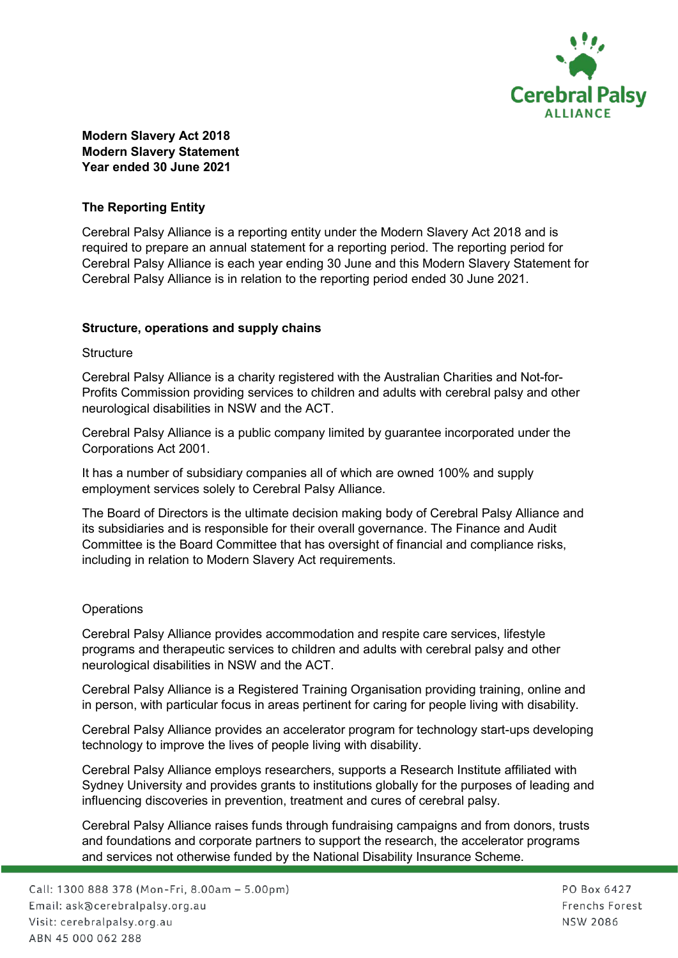

### **Modern Slavery Act 2018 Modern Slavery Statement Year ended 30 June 2021**

## **The Reporting Entity**

Cerebral Palsy Alliance is a reporting entity under the Modern Slavery Act 2018 and is required to prepare an annual statement for a reporting period. The reporting period for Cerebral Palsy Alliance is each year ending 30 June and this Modern Slavery Statement for Cerebral Palsy Alliance is in relation to the reporting period ended 30 June 2021.

### **Structure, operations and supply chains**

#### **Structure**

Cerebral Palsy Alliance is a charity registered with the Australian Charities and Not-for-Profits Commission providing services to children and adults with cerebral palsy and other neurological disabilities in NSW and the ACT.

Cerebral Palsy Alliance is a public company limited by guarantee incorporated under the Corporations Act 2001.

It has a number of subsidiary companies all of which are owned 100% and supply employment services solely to Cerebral Palsy Alliance.

The Board of Directors is the ultimate decision making body of Cerebral Palsy Alliance and its subsidiaries and is responsible for their overall governance. The Finance and Audit Committee is the Board Committee that has oversight of financial and compliance risks, including in relation to Modern Slavery Act requirements.

### **Operations**

Cerebral Palsy Alliance provides accommodation and respite care services, lifestyle programs and therapeutic services to children and adults with cerebral palsy and other neurological disabilities in NSW and the ACT.

Cerebral Palsy Alliance is a Registered Training Organisation providing training, online and in person, with particular focus in areas pertinent for caring for people living with disability.

Cerebral Palsy Alliance provides an accelerator program for technology start-ups developing technology to improve the lives of people living with disability.

Cerebral Palsy Alliance employs researchers, supports a Research Institute affiliated with Sydney University and provides grants to institutions globally for the purposes of leading and influencing discoveries in prevention, treatment and cures of cerebral palsy.

Cerebral Palsy Alliance raises funds through fundraising campaigns and from donors, trusts and foundations and corporate partners to support the research, the accelerator programs and services not otherwise funded by the National Disability Insurance Scheme.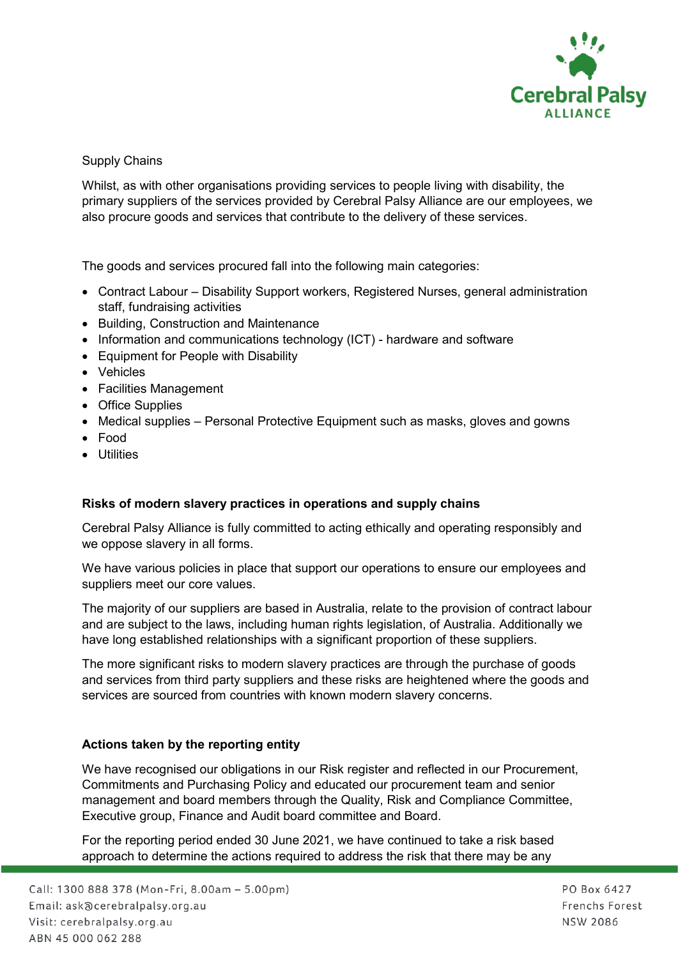

### Supply Chains

Whilst, as with other organisations providing services to people living with disability, the primary suppliers of the services provided by Cerebral Palsy Alliance are our employees, we also procure goods and services that contribute to the delivery of these services.

The goods and services procured fall into the following main categories:

- Contract Labour Disability Support workers, Registered Nurses, general administration staff, fundraising activities
- Building, Construction and Maintenance
- Information and communications technology (ICT) hardware and software
- Equipment for People with Disability
- Vehicles
- Facilities Management
- Office Supplies
- Medical supplies Personal Protective Equipment such as masks, gloves and gowns
- Food
- Utilities

### **Risks of modern slavery practices in operations and supply chains**

Cerebral Palsy Alliance is fully committed to acting ethically and operating responsibly and we oppose slavery in all forms.

We have various policies in place that support our operations to ensure our employees and suppliers meet our core values.

The majority of our suppliers are based in Australia, relate to the provision of contract labour and are subject to the laws, including human rights legislation, of Australia. Additionally we have long established relationships with a significant proportion of these suppliers.

The more significant risks to modern slavery practices are through the purchase of goods and services from third party suppliers and these risks are heightened where the goods and services are sourced from countries with known modern slavery concerns.

# **Actions taken by the reporting entity**

We have recognised our obligations in our Risk register and reflected in our Procurement, Commitments and Purchasing Policy and educated our procurement team and senior management and board members through the Quality, Risk and Compliance Committee, Executive group, Finance and Audit board committee and Board.

For the reporting period ended 30 June 2021, we have continued to take a risk based approach to determine the actions required to address the risk that there may be any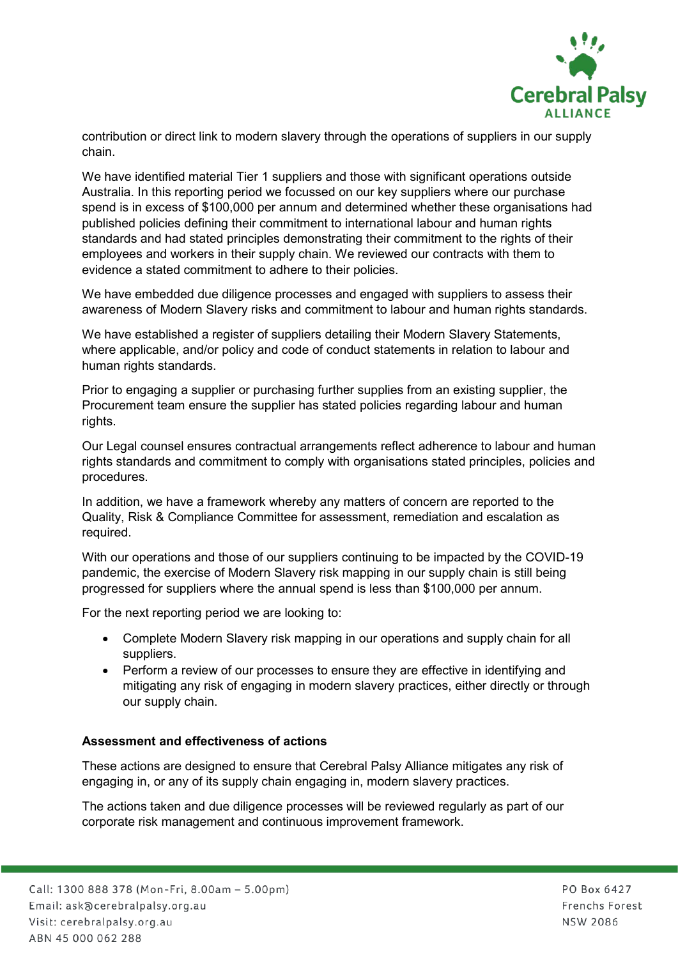

contribution or direct link to modern slavery through the operations of suppliers in our supply chain.

We have identified material Tier 1 suppliers and those with significant operations outside Australia. In this reporting period we focussed on our key suppliers where our purchase spend is in excess of \$100,000 per annum and determined whether these organisations had published policies defining their commitment to international labour and human rights standards and had stated principles demonstrating their commitment to the rights of their employees and workers in their supply chain. We reviewed our contracts with them to evidence a stated commitment to adhere to their policies.

We have embedded due diligence processes and engaged with suppliers to assess their awareness of Modern Slavery risks and commitment to labour and human rights standards.

We have established a register of suppliers detailing their Modern Slavery Statements, where applicable, and/or policy and code of conduct statements in relation to labour and human rights standards.

Prior to engaging a supplier or purchasing further supplies from an existing supplier, the Procurement team ensure the supplier has stated policies regarding labour and human rights.

Our Legal counsel ensures contractual arrangements reflect adherence to labour and human rights standards and commitment to comply with organisations stated principles, policies and procedures.

In addition, we have a framework whereby any matters of concern are reported to the Quality, Risk & Compliance Committee for assessment, remediation and escalation as required.

With our operations and those of our suppliers continuing to be impacted by the COVID-19 pandemic, the exercise of Modern Slavery risk mapping in our supply chain is still being progressed for suppliers where the annual spend is less than \$100,000 per annum.

For the next reporting period we are looking to:

- Complete Modern Slavery risk mapping in our operations and supply chain for all suppliers.
- Perform a review of our processes to ensure they are effective in identifying and mitigating any risk of engaging in modern slavery practices, either directly or through our supply chain.

### **Assessment and effectiveness of actions**

These actions are designed to ensure that Cerebral Palsy Alliance mitigates any risk of engaging in, or any of its supply chain engaging in, modern slavery practices.

The actions taken and due diligence processes will be reviewed regularly as part of our corporate risk management and continuous improvement framework.